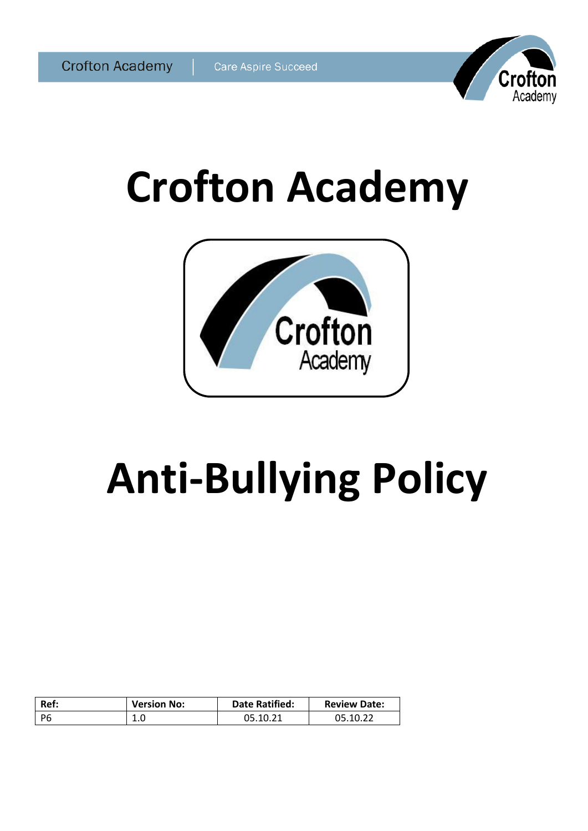

# **Crofton Academy**



# **Anti-Bullying Policy**

| Ref: | <b>Version No:</b> | <b>Date Ratified:</b> | <b>Review Date:</b> |
|------|--------------------|-----------------------|---------------------|
| - P6 | T.N                | 05.10.21              | 05.10.22            |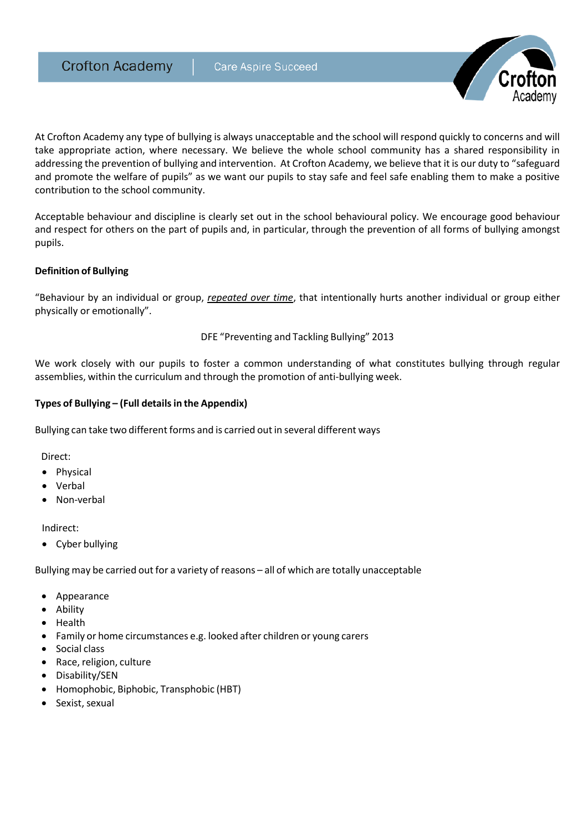**Crofton Academy** 



At Crofton Academy any type of bullying is always unacceptable and the school will respond quickly to concerns and will take appropriate action, where necessary. We believe the whole school community has a shared responsibility in addressing the prevention of bullying and intervention. At Crofton Academy, we believe that it is our duty to "safeguard and promote the welfare of pupils" as we want our pupils to stay safe and feel safe enabling them to make a positive contribution to the school community.

Acceptable behaviour and discipline is clearly set out in the school behavioural policy. We encourage good behaviour and respect for others on the part of pupils and, in particular, through the prevention of all forms of bullying amongst pupils.

#### **Definition of Bullying**

"Behaviour by an individual or group, *repeated over time*, that intentionally hurts another individual or group either physically or emotionally".

DFE "Preventing and Tackling Bullying" 2013

We work closely with our pupils to foster a common understanding of what constitutes bullying through regular assemblies, within the curriculum and through the promotion of anti-bullying week.

#### **Types of Bullying – (Full detailsin the Appendix)**

Bullying can take two different forms and is carried out in several different ways

Direct:

- Physical
- Verbal
- Non-verbal

Indirect:

Cyber bullying

Bullying may be carried out for a variety of reasons - all of which are totally unacceptable

- Appearance
- Ability
- Health
- Family or home circumstances e.g. looked after children or young carers
- Social class
- Race, religion, culture
- Disability/SEN
- Homophobic, Biphobic, Transphobic (HBT)
- Sexist, sexual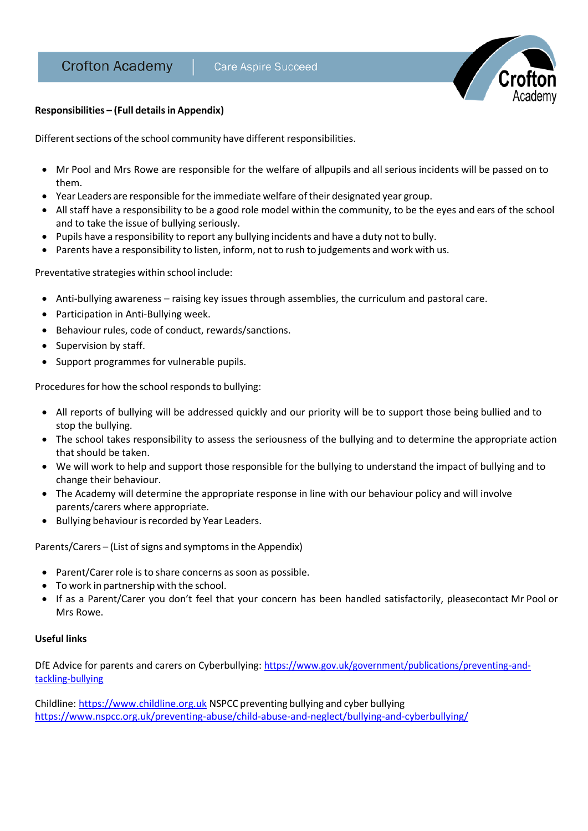

# **Responsibilities – (Full detailsin Appendix)**

Different sections of the school community have different responsibilities.

- Mr Pool and Mrs Rowe are responsible for the welfare of allpupils and all serious incidents will be passed on to them.
- Year Leaders are responsible forthe immediate welfare of their designated year group.
- All staff have a responsibility to be a good role model within the community, to be the eyes and ears of the school and to take the issue of bullying seriously.
- Pupils have a responsibility to report any bullying incidents and have a duty not to bully.
- Parents have a responsibility to listen, inform, not to rush to judgements and work with us.

Preventative strategies within school include:

- Anti-bullying awareness raising key issues through assemblies, the curriculum and pastoral care.
- Participation in Anti-Bullying week.
- Behaviour rules, code of conduct, rewards/sanctions.
- Supervision by staff.
- Support programmes for vulnerable pupils.

Procedures for how the school responds to bullying:

- All reports of bullying will be addressed quickly and our priority will be to support those being bullied and to stop the bullying.
- The school takes responsibility to assess the seriousness of the bullying and to determine the appropriate action that should be taken.
- We will work to help and support those responsible for the bullying to understand the impact of bullying and to change their behaviour.
- The Academy will determine the appropriate response in line with our behaviour policy and will involve parents/carers where appropriate.
- Bullying behaviour is recorded by Year Leaders.

Parents/Carers – (List of signs and symptoms in the Appendix)

- Parent/Carer role is to share concerns as soon as possible.
- To work in partnership with the school.
- If as a Parent/Carer you don't feel that your concern has been handled satisfactorily, pleasecontact Mr Pool or Mrs Rowe.

# **Useful links**

DfE Advice for parents and carers on Cyberbullying: [https://www.gov.uk/government/publications/preventing-and](https://www.gov.uk/government/publications/preventing-and-tackling-bullying)[tackling-bullying](https://www.gov.uk/government/publications/preventing-and-tackling-bullying)

Childline[: https://www.childline.org.uk](https://www.childline.org.uk/) NSPCC preventing bullying and cyber bullying <https://www.nspcc.org.uk/preventing-abuse/child-abuse-and-neglect/bullying-and-cyberbullying/>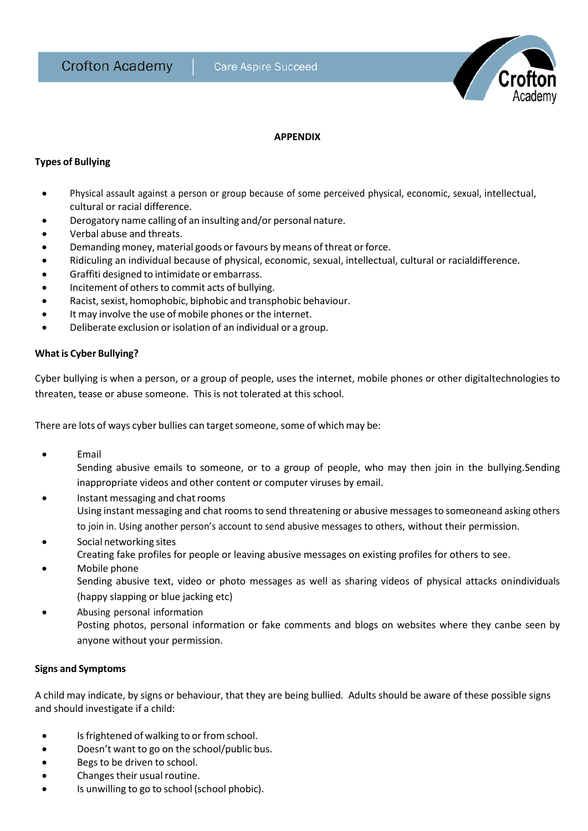

# **APPENDIX**

### **Types of Bullying**

- Physical assault against a person or group because of some perceived physical, economic, sexual, intellectual, cultural or racial difference.
- Derogatory name calling of an insulting and/or personal nature.
- Verbal abuse and threats.
- Demanding money, material goods or favours by means of threat or force.
- Ridiculing an individual because of physical, economic, sexual, intellectual, cultural or racialdifference.
- Graffiti designed to intimidate or embarrass.
- Incitement of others to commit acts of bullying.
- Racist,sexist, homophobic, biphobic and transphobic behaviour.
- It may involve the use of mobile phones or the internet.
- Deliberate exclusion or isolation of an individual or a group.

#### **Whatis Cyber Bullying?**

Cyber bullying is when a person, or a group of people, uses the internet, mobile phones or other digitaltechnologies to threaten, tease or abuse someone. This is not tolerated at this school.

There are lots of ways cyber bullies can target someone, some of which may be:

• Email

Sending abusive emails to someone, or to a group of people, who may then join in the bullying.Sending inappropriate videos and other content or computer viruses by email.

- Instant messaging and chatrooms Using instant messaging and chat roomsto send threatening or abusive messagesto someoneand asking others to join in. Using another person's account to send abusive messages to others, without their permission.
- Social networking sites
	- Creating fake profiles for people or leaving abusive messages on existing profiles for others to see.
- Mobile phone Sending abusive text, video or photo messages as well as sharing videos of physical attacks onindividuals (happy slapping or blue jacking etc)
- Abusing personal information Posting photos, personal information or fake comments and blogs on websites where they canbe seen by anyone without your permission.

#### **Signs and Symptoms**

A child may indicate, by signs or behaviour, that they are being bullied. Adults should be aware of these possible signs and should investigate if a child:

- Is frightened of walking to or from school.
- Doesn't want to go on the school/public bus.
- Begs to be driven to school.
- Changes their usual routine.
- Is unwilling to go to school (school phobic).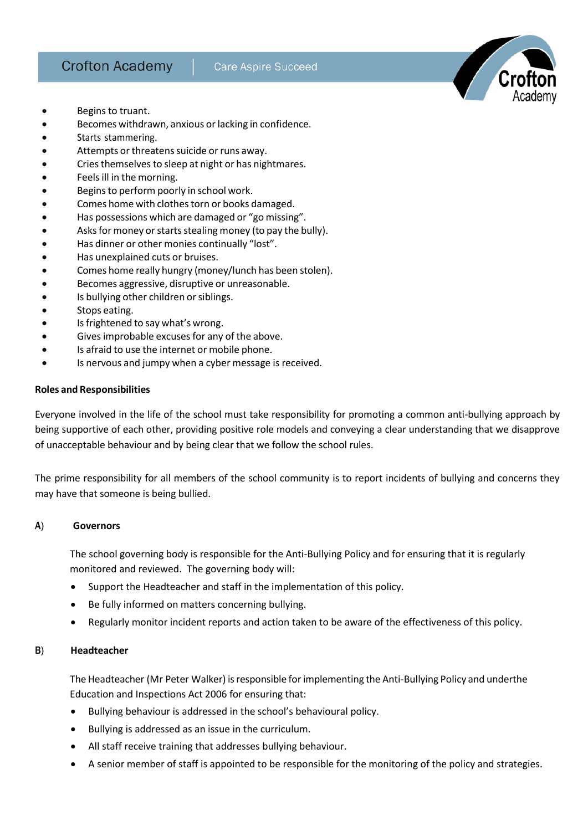- Begins to truant.
- Becomes withdrawn, anxious or lacking in confidence.
- Starts stammering.
- Attempts or threatens suicide or runs away.
- **•** Cries themselves to sleep at night or has nightmares.
- Feels ill in the morning.
- Beginsto perform poorly in school work.
- Comes home with clothestorn or books damaged.
- Has possessions which are damaged or "go missing".
- Asks for money or starts stealing money (to pay the bully).
- Has dinner or other monies continually "lost".
- Has unexplained cuts or bruises.
- Comes home really hungry (money/lunch has been stolen).
- Becomes aggressive, disruptive or unreasonable.
- Is bullying other children or siblings.
- Stops eating.
- Is frightened to say what's wrong.
- Givesimprobable excusesfor any of the above.
- Is afraid to use the internet or mobile phone.
- Is nervous and jumpy when a cyber message is received.

#### **Roles and Responsibilities**

Everyone involved in the life of the school must take responsibility for promoting a common anti-bullying approach by being supportive of each other, providing positive role models and conveying a clear understanding that we disapprove of unacceptable behaviour and by being clear that we follow the school rules.

The prime responsibility for all members of the school community is to report incidents of bullying and concerns they may have that someone is being bullied.

#### A) **Governors**

The school governing body is responsible for the Anti-Bullying Policy and for ensuring that it is regularly monitored and reviewed. The governing body will:

- Support the Headteacher and staff in the implementation of this policy.
- Be fully informed on matters concerning bullying.
- Regularly monitor incident reports and action taken to be aware of the effectiveness of this policy.

#### B) **Headteacher**

The Headteacher (Mr Peter Walker) isresponsible forimplementing the Anti-Bullying Policy and underthe Education and Inspections Act 2006 for ensuring that:

- Bullying behaviour is addressed in the school's behavioural policy.
- Bullying is addressed as an issue in the curriculum.
- All staff receive training that addresses bullying behaviour.
- A senior member of staff is appointed to be responsible for the monitoring of the policy and strategies.